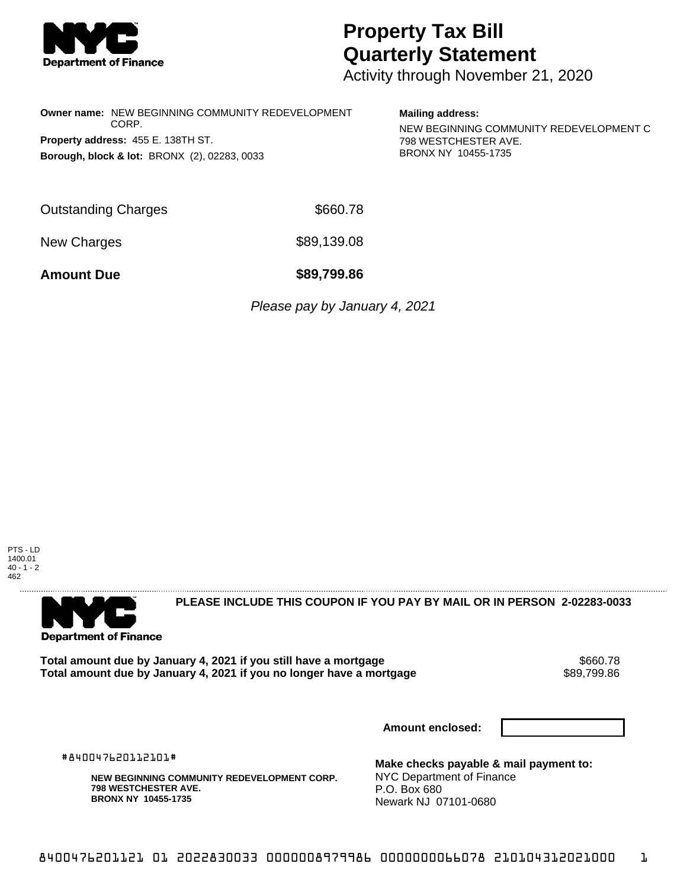

## **Property Tax Bill Quarterly Statement**

Activity through November 21, 2020

**Owner name:** NEW BEGINNING COMMUNITY REDEVELOPMENT CORP. **Property address:** 455 E. 138TH ST. **Borough, block & lot:** BRONX (2), 02283, 0033

## **Mailing address:**

NEW BEGINNING COMMUNITY REDEVELOPMENT C 798 WESTCHESTER AVE. BRONX NY 10455-1735

| <b>Outstanding Charges</b> | \$660.78    |  |  |
|----------------------------|-------------|--|--|
| New Charges                | \$89,139.08 |  |  |

**Amount Due \$89,799.86**

Please pay by January 4, 2021





**PLEASE INCLUDE THIS COUPON IF YOU PAY BY MAIL OR IN PERSON 2-02283-0033** 

**Total amount due by January 4, 2021 if you still have a mortgage**  $$660.78$ **<br>Total amount due by January 4, 2021 if you no longer have a mortgage**  $$89,799.86$ Total amount due by January 4, 2021 if you no longer have a mortgage

**Amount enclosed:**

#840047620112101#

**NEW BEGINNING COMMUNITY REDEVELOPMENT CORP. 798 WESTCHESTER AVE. BRONX NY 10455-1735**

**Make checks payable & mail payment to:** NYC Department of Finance P.O. Box 680 Newark NJ 07101-0680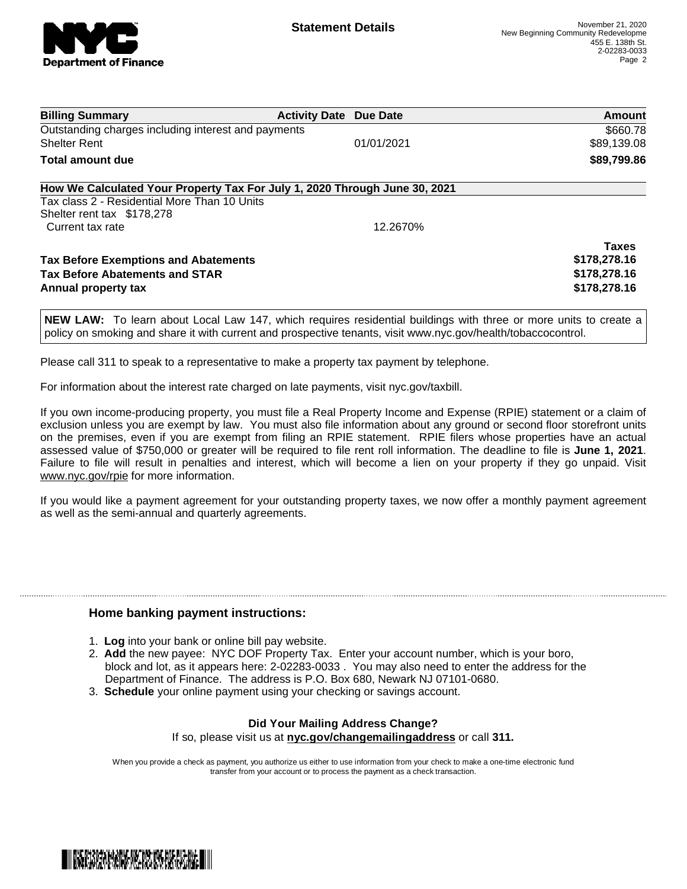

| <b>Billing Summary</b>                                                                                                     | <b>Activity Date Due Date</b> |            | Amount       |
|----------------------------------------------------------------------------------------------------------------------------|-------------------------------|------------|--------------|
| Outstanding charges including interest and payments                                                                        |                               |            | \$660.78     |
| <b>Shelter Rent</b>                                                                                                        |                               | 01/01/2021 | \$89,139.08  |
| Total amount due                                                                                                           |                               |            | \$89,799.86  |
| How We Calculated Your Property Tax For July 1, 2020 Through June 30, 2021<br>Tax class 2 - Residential More Than 10 Units |                               |            |              |
|                                                                                                                            |                               |            |              |
| Shelter rent tax \$178,278<br>Current tax rate                                                                             |                               | 12.2670%   |              |
|                                                                                                                            |                               |            |              |
|                                                                                                                            |                               |            | <b>Taxes</b> |
| <b>Tax Before Exemptions and Abatements</b>                                                                                |                               |            | \$178,278.16 |
| <b>Tax Before Abatements and STAR</b>                                                                                      |                               |            | \$178,278.16 |
| Annual property tax                                                                                                        |                               |            | \$178,278.16 |

**NEW LAW:** To learn about Local Law 147, which requires residential buildings with three or more units to create a policy on smoking and share it with current and prospective tenants, visit www.nyc.gov/health/tobaccocontrol.

Please call 311 to speak to a representative to make a property tax payment by telephone.

For information about the interest rate charged on late payments, visit nyc.gov/taxbill.

If you own income-producing property, you must file a Real Property Income and Expense (RPIE) statement or a claim of exclusion unless you are exempt by law. You must also file information about any ground or second floor storefront units on the premises, even if you are exempt from filing an RPIE statement. RPIE filers whose properties have an actual assessed value of \$750,000 or greater will be required to file rent roll information. The deadline to file is **June 1, 2021**. Failure to file will result in penalties and interest, which will become a lien on your property if they go unpaid. Visit [www.nyc.gov/rpie](https://gcc01.safelinks.protection.outlook.com/?url=http%3A%2F%2Fwww.nyc.gov%2Frpie&data=04%7C01%7CNopperB%40finance.nyc.gov%7Cb5441c0febda4654c59308d871e42e3d%7C32f56fc75f814e22a95b15da66513bef%7C0%7C0%7C637384572119592751%7CUnknown%7CTWFpbGZsb3d8eyJWIjoiMC4wLjAwMDAiLCJQIjoiV2luMzIiLCJBTiI6Ik1haWwiLCJXVCI6Mn0%3D%7C1000&sdata=5r9tfjT5xGtYBarIoWvpryLYlBW%2BnkEP80XChdlWHLU%3D&reserved=0) for more information.

If you would like a payment agreement for your outstanding property taxes, we now offer a monthly payment agreement as well as the semi-annual and quarterly agreements.

## **Home banking payment instructions:**

- 1. **Log** into your bank or online bill pay website.
- 2. **Add** the new payee: NYC DOF Property Tax. Enter your account number, which is your boro, block and lot, as it appears here: 2-02283-0033 . You may also need to enter the address for the Department of Finance. The address is P.O. Box 680, Newark NJ 07101-0680.
- 3. **Schedule** your online payment using your checking or savings account.

## **Did Your Mailing Address Change?** If so, please visit us at **nyc.gov/changemailingaddress** or call **311.**

When you provide a check as payment, you authorize us either to use information from your check to make a one-time electronic fund transfer from your account or to process the payment as a check transaction.